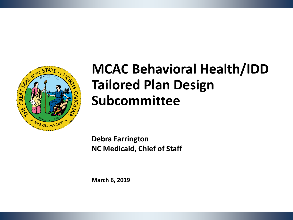

# **MCAC Behavioral Health/IDD Tailored Plan Design Subcommittee**

**Debra Farrington NC Medicaid, Chief of Staff**

**March 6, 2019**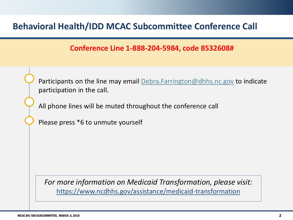### **Behavioral Health/IDD MCAC Subcommittee Conference Call**

#### **Conference Line 1-888-204-5984, code 8532608#**

Participants on the line may email [Debra.Farrington@dhhs.nc.gov](mailto:Debra.Farrington@dhhs.nc.gov) to indicate participation in the call.

All phone lines will be muted throughout the conference call

Please press \*6 to unmute yourself

*For more information on Medicaid Transformation, please visit:* https://www.ncdhhs.gov/assistance/medicaid-transformation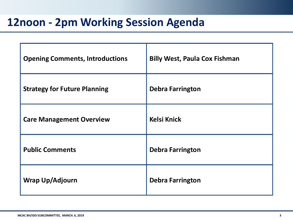# **12noon - 2pm Working Session Agenda**

| <b>Opening Comments, Introductions</b> | <b>Billy West, Paula Cox Fishman</b> |
|----------------------------------------|--------------------------------------|
| <b>Strategy for Future Planning</b>    | <b>Debra Farrington</b>              |
| <b>Care Management Overview</b>        | <b>Kelsi Knick</b>                   |
| <b>Public Comments</b>                 | <b>Debra Farrington</b>              |
| Wrap Up/Adjourn                        | <b>Debra Farrington</b>              |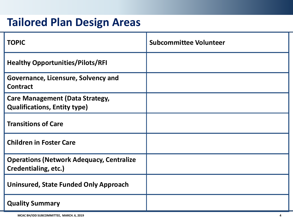## **Tailored Plan Design Areas**

| <b>TOPIC</b>                                                                  | <b>Subcommittee Volunteer</b> |
|-------------------------------------------------------------------------------|-------------------------------|
| <b>Healthy Opportunities/Pilots/RFI</b>                                       |                               |
| Governance, Licensure, Solvency and<br><b>Contract</b>                        |                               |
| <b>Care Management (Data Strategy,</b><br><b>Qualifications, Entity type)</b> |                               |
| <b>Transitions of Care</b>                                                    |                               |
| <b>Children in Foster Care</b>                                                |                               |
| <b>Operations (Network Adequacy, Centralize</b><br>Credentialing, etc.)       |                               |
| Uninsured, State Funded Only Approach                                         |                               |
| <b>Quality Summary</b>                                                        |                               |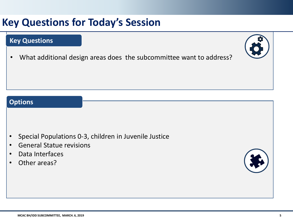## **Key Questions for Today's Session**

#### **Key Questions**

• What additional design areas does the subcommittee want to address?

#### **Options**

- Special Populations 0-3, children in Juvenile Justice
- General Statue revisions
- Data Interfaces
- Other areas?

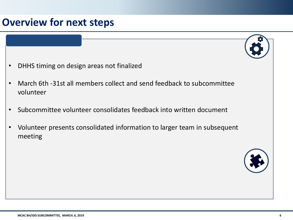### **Overview for next steps**



- March 6th -31st all members collect and send feedback to subcommittee volunteer
- Subcommittee volunteer consolidates feedback into written document
- Volunteer presents consolidated information to larger team in subsequent meeting

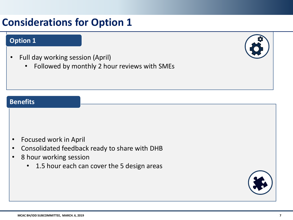### **Considerations for Option 1**

#### **Option 1**

- Full day working session (April)
	- Followed by monthly 2 hour reviews with SMEs



#### **Benefits**

- Focused work in April
- Consolidated feedback ready to share with DHB
- 8 hour working session
	- 1.5 hour each can cover the 5 design areas

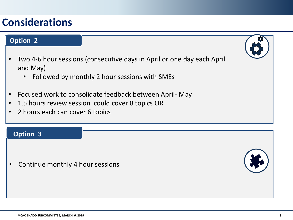### **Considerations**

#### **Option 2**

- Two 4-6 hour sessions (consecutive days in April or one day each April and May)
	- Followed by monthly 2 hour sessions with SMEs
- Focused work to consolidate feedback between April- May
- 1.5 hours review session could cover 8 topics OR
- 2 hours each can cover 6 topics

#### **Option 3**

• Continue monthly 4 hour sessions

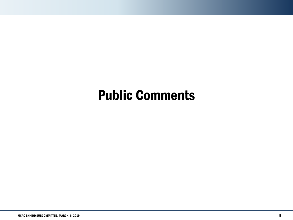# Public Comments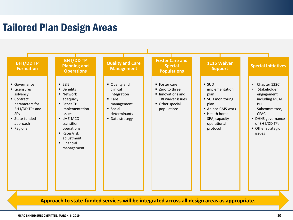### Tailored Plan Design Areas



**Approach to state-funded services will be integrated across all design areas as appropriate.**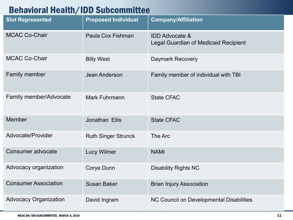### Behavioral Health/IDD Subcommittee

| <b>Slot Represented</b>       | <b>Proposed Individual</b> | <b>Company/Affiliation</b>                                               |
|-------------------------------|----------------------------|--------------------------------------------------------------------------|
| <b>MCAC Co-Chair</b>          | Paula Cox Fishman          | <b>IDD Advocate &amp;</b><br><b>Legal Guardian of Medicaid Recipient</b> |
| <b>MCAC Co-Chair</b>          | <b>Billy West</b>          | <b>Daymark Recovery</b>                                                  |
| Family member                 | Jean Anderson              | Family member of individual with TBI                                     |
| <b>Family member/Advocate</b> | <b>Mark Fuhrmann</b>       | <b>State CFAC</b>                                                        |
| Member                        | Jonathan Ellis             | <b>State CFAC</b>                                                        |
| Advocate/Provider             | <b>Ruth Singer Strunck</b> | The Arc                                                                  |
| Consumer advocate             | <b>Lucy Wilmer</b>         | <b>NAMI</b>                                                              |
| Advocacy organization         | Corye Dunn                 | <b>Disability Rights NC</b>                                              |
| <b>Consumer Association</b>   | <b>Susan Baker</b>         | <b>Brian Injury Association</b>                                          |
| <b>Advocacy Organization</b>  | David Ingram               | NC Council on Developmental Disabilities                                 |